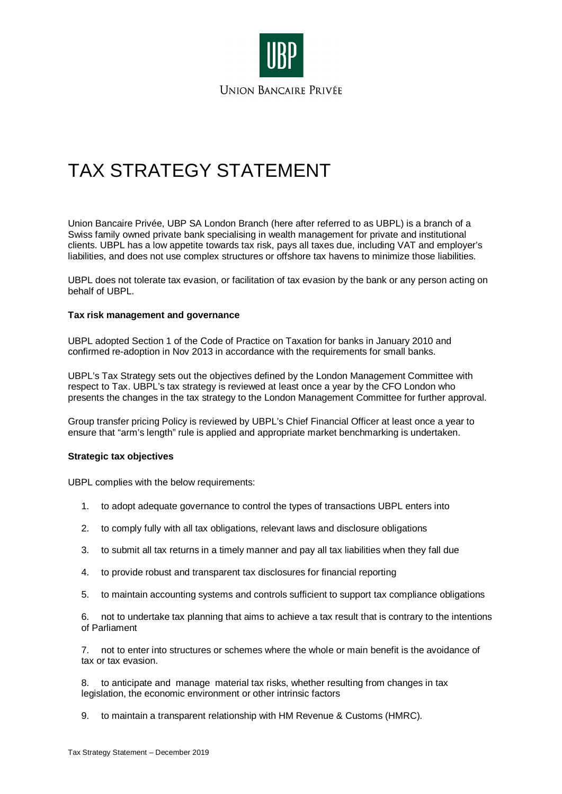

# TAX STRATEGY STATEMENT

Union Bancaire Privée, UBP SA London Branch (here after referred to as UBPL) is a branch of a Swiss family owned private bank specialising in wealth management for private and institutional clients. UBPL has a low appetite towards tax risk, pays all taxes due, including VAT and employer's liabilities, and does not use complex structures or offshore tax havens to minimize those liabilities.

UBPL does not tolerate tax evasion, or facilitation of tax evasion by the bank or any person acting on behalf of UBPL.

# **Tax risk management and governance**

UBPL adopted Section 1 of the Code of Practice on Taxation for banks in January 2010 and confirmed re-adoption in Nov 2013 in accordance with the requirements for small banks.

UBPL's Tax Strategy sets out the objectives defined by the London Management Committee with respect to Tax. UBPL's tax strategy is reviewed at least once a year by the CFO London who presents the changes in the tax strategy to the London Management Committee for further approval.

Group transfer pricing Policy is reviewed by UBPL's Chief Financial Officer at least once a year to ensure that "arm's length" rule is applied and appropriate market benchmarking is undertaken.

# **Strategic tax objectives**

UBPL complies with the below requirements:

- 1. to adopt adequate governance to control the types of transactions UBPL enters into
- 2. to comply fully with all tax obligations, relevant laws and disclosure obligations
- 3. to submit all tax returns in a timely manner and pay all tax liabilities when they fall due
- 4. to provide robust and transparent tax disclosures for financial reporting
- 5. to maintain accounting systems and controls sufficient to support tax compliance obligations

6. not to undertake tax planning that aims to achieve a tax result that is contrary to the intentions of Parliament

7. not to enter into structures or schemes where the whole or main benefit is the avoidance of tax or tax evasion.

8. to anticipate and manage material tax risks, whether resulting from changes in tax legislation, the economic environment or other intrinsic factors

9. to maintain a transparent relationship with HM Revenue & Customs (HMRC).